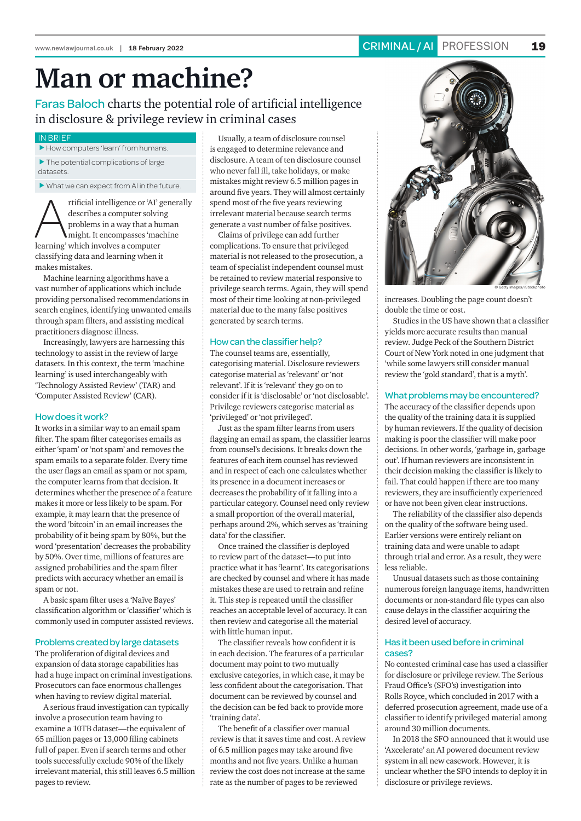# **Man or machine?**

# Faras Baloch charts the potential role of artificial intelligence in disclosure & privilege review in criminal cases

# IN BRIEF

 $\blacktriangleright$  How computers 'learn' from humans.  $\blacktriangleright$  The potential complications of large

datasets.

 $\blacktriangleright$  What we can expect from AI in the future.

rtificial intelligence or 'AI' generally<br>describes a computer solving<br>problems in a way that a human<br>might. It encompasses 'machine<br>learning' which involves a computer describes a computer solving problems in a way that a human might. It encompasses 'machine learning' which involves a computer classifying data and learning when it makes mistakes.

Machine learning algorithms have a vast number of applications which include providing personalised recommendations in search engines, identifying unwanted emails through spam filters, and assisting medical practitioners diagnose illness.

Increasingly, lawyers are harnessing this technology to assist in the review of large datasets. In this context, the term 'machine learning' is used interchangeably with 'Technology Assisted Review' (TAR) and 'Computer Assisted Review' (CAR).

## How does it work?

It works in a similar way to an email spam filter. The spam filter categorises emails as either 'spam' or 'not spam' and removes the spam emails to a separate folder. Every time the user flags an email as spam or not spam, the computer learns from that decision. It determines whether the presence of a feature makes it more or less likely to be spam. For example, it may learn that the presence of the word 'bitcoin' in an email increases the probability of it being spam by 80%, but the word 'presentation' decreases the probability by 50%. Over time, millions of features are assigned probabilities and the spam filter predicts with accuracy whether an email is spam or not.

A basic spam filter uses a 'Naïve Bayes' classification algorithm or 'classifier' which is commonly used in computer assisted reviews.

#### Problems created by large datasets

The proliferation of digital devices and expansion of data storage capabilities has had a huge impact on criminal investigations. Prosecutors can face enormous challenges when having to review digital material.

A serious fraud investigation can typically involve a prosecution team having to examine a 10TB dataset—the equivalent of 65 million pages or 13,000 filing cabinets full of paper. Even if search terms and other tools successfully exclude 90% of the likely irrelevant material, this still leaves 6.5 million pages to review.

Usually, a team of disclosure counsel is engaged to determine relevance and disclosure. A team of ten disclosure counsel who never fall ill, take holidays, or make mistakes might review 6.5 million pages in around five years. They will almost certainly spend most of the five years reviewing irrelevant material because search terms generate a vast number of false positives.

Claims of privilege can add further complications. To ensure that privileged material is not released to the prosecution, a team of specialist independent counsel must be retained to review material responsive to privilege search terms. Again, they will spend most of their time looking at non-privileged material due to the many false positives generated by search terms.

# How can the classifier help?

The counsel teams are, essentially, categorising material. Disclosure reviewers categorise material as 'relevant' or 'not relevant'. If it is 'relevant' they go on to consider if it is 'disclosable' or 'not disclosable'. Privilege reviewers categorise material as 'privileged' or 'not privileged'.

Just as the spam filter learns from users flagging an email as spam, the classifier learns from counsel's decisions. It breaks down the features of each item counsel has reviewed and in respect of each one calculates whether its presence in a document increases or decreases the probability of it falling into a particular category. Counsel need only review a small proportion of the overall material, perhaps around 2%, which serves as 'training data' for the classifier.

Once trained the classifier is deployed to review part of the dataset—to put into practice what it has 'learnt'. Its categorisations are checked by counsel and where it has made mistakes these are used to retrain and refine it. This step is repeated until the classifier reaches an acceptable level of accuracy. It can then review and categorise all the material with little human input.

The classifier reveals how confident it is in each decision. The features of a particular document may point to two mutually exclusive categories, in which case, it may be less confident about the categorisation. That document can be reviewed by counsel and the decision can be fed back to provide more 'training data'.

The benefit of a classifier over manual review is that it saves time and cost. A review of 6.5 million pages may take around five months and not five years. Unlike a human review the cost does not increase at the same rate as the number of pages to be reviewed



increases. Doubling the page count doesn't double the time or cost.

Studies in the US have shown that a classifier yields more accurate results than manual review. Judge Peck of the Southern District Court of New York noted in one judgment that 'while some lawyers still consider manual review the 'gold standard', that is a myth'.

#### What problems may be encountered?

The accuracy of the classifier depends upon the quality of the training data it is supplied by human reviewers. If the quality of decision making is poor the classifier will make poor decisions. In other words, 'garbage in, garbage out'. If human reviewers are inconsistent in their decision making the classifier is likely to fail. That could happen if there are too many reviewers, they are insufficiently experienced or have not been given clear instructions.

The reliability of the classifier also depends on the quality of the software being used. Earlier versions were entirely reliant on training data and were unable to adapt through trial and error. As a result, they were less reliable.

Unusual datasets such as those containing numerous foreign language items, handwritten documents or non-standard file types can also cause delays in the classifier acquiring the desired level of accuracy.

# Has it been used before in criminal cases?

No contested criminal case has used a classifier for disclosure or privilege review. The Serious Fraud Office's (SFO's) investigation into Rolls Royce, which concluded in 2017 with a deferred prosecution agreement, made use of a classifier to identify privileged material among around 30 million documents.

In 2018 the SFO announced that it would use 'Axcelerate' an AI powered document review system in all new casework. However, it is unclear whether the SFO intends to deploy it in disclosure or privilege reviews.